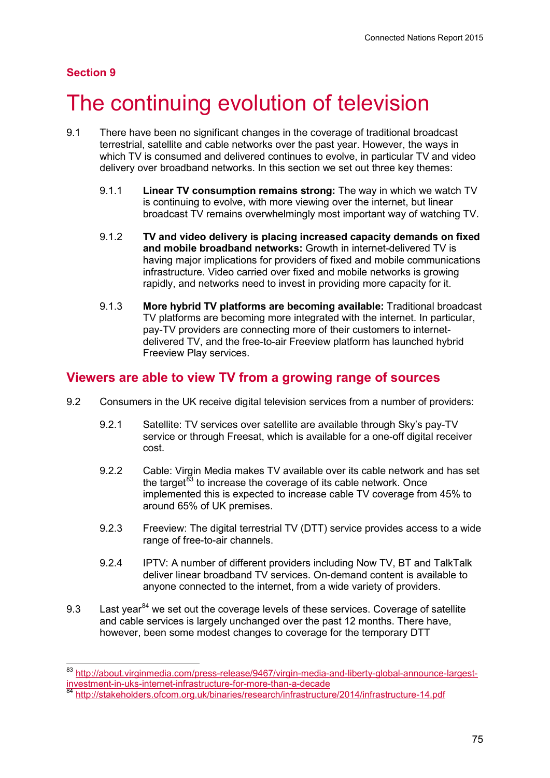## **Section 9**

# The continuing evolution of television

- 9.1 There have been no significant changes in the coverage of traditional broadcast terrestrial, satellite and cable networks over the past year. However, the ways in which TV is consumed and delivered continues to evolve, in particular TV and video delivery over broadband networks. In this section we set out three key themes:
	- 9.1.1 **Linear TV consumption remains strong:** The way in which we watch TV is continuing to evolve, with more viewing over the internet, but linear broadcast TV remains overwhelmingly most important way of watching TV.
	- 9.1.2 **TV and video delivery is placing increased capacity demands on fixed and mobile broadband networks:** Growth in internet-delivered TV is having major implications for providers of fixed and mobile communications infrastructure. Video carried over fixed and mobile networks is growing rapidly, and networks need to invest in providing more capacity for it.
	- 9.1.3 **More hybrid TV platforms are becoming available:** Traditional broadcast TV platforms are becoming more integrated with the internet. In particular, pay-TV providers are connecting more of their customers to internetdelivered TV, and the free-to-air Freeview platform has launched hybrid Freeview Play services.

# **Viewers are able to view TV from a growing range of sources**

- 9.2 Consumers in the UK receive digital television services from a number of providers:
	- 9.2.1 Satellite: TV services over satellite are available through Sky's pay-TV service or through Freesat, which is available for a one-off digital receiver cost.
	- 9.2.2 Cable: Virgin Media makes TV available over its cable network and has set the target $^{83}$  $^{83}$  $^{83}$  to increase the coverage of its cable network. Once implemented this is expected to increase cable TV coverage from 45% to around 65% of UK premises.
	- 9.2.3 Freeview: The digital terrestrial TV (DTT) service provides access to a wide range of free-to-air channels.
	- 9.2.4 IPTV: A number of different providers including Now TV, BT and TalkTalk deliver linear broadband TV services. On-demand content is available to anyone connected to the internet, from a wide variety of providers.
- 9.3 Last year $^{84}$  $^{84}$  $^{84}$  we set out the coverage levels of these services. Coverage of satellite and cable services is largely unchanged over the past 12 months. There have, however, been some modest changes to coverage for the temporary DTT

<span id="page-0-0"></span><sup>83</sup> http://about.virginmedia.com/press-release/9467/virgin-media-and-liberty-global-announce-largest-<br>investment-in-uks-internet-infrastructure-for-more-than-a-decade<br>84 http://about.virgin-media-infrastructure-for-more-tha

<span id="page-0-1"></span>http://stakeholders.ofcom.org.uk/binaries/research/infrastructure/2014/infrastructure-14.pdf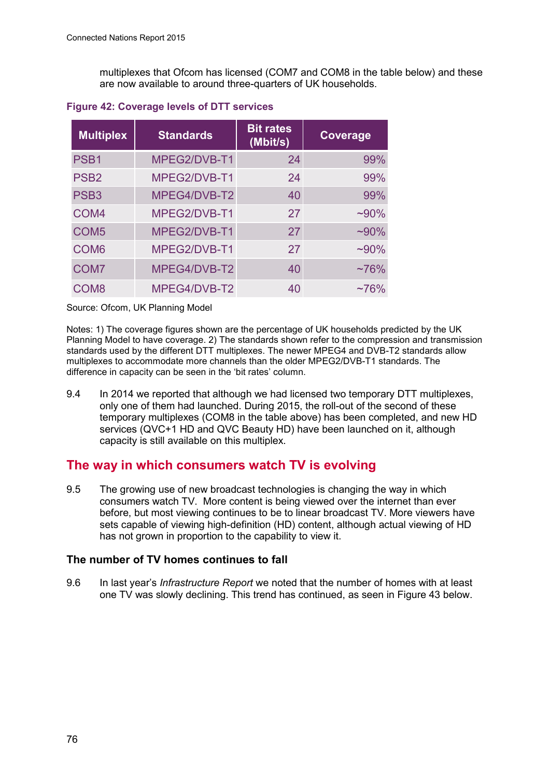multiplexes that Ofcom has licensed (COM7 and COM8 in the table below) and these are now available to around three-quarters of UK households.

| <b>Multiplex</b> | <b>Standards</b> | <b>Bit rates</b><br>(Mbit/s) | <b>Coverage</b> |
|------------------|------------------|------------------------------|-----------------|
| PSB <sub>1</sub> | MPEG2/DVB-T1     | 24                           | 99%             |
| PSB <sub>2</sub> | MPEG2/DVB-T1     | 24                           | 99%             |
| PSB <sub>3</sub> | MPEG4/DVB-T2     | 40                           | 99%             |
| COM <sub>4</sub> | MPEG2/DVB-T1     | 27                           | $~100\%$        |
| COM <sub>5</sub> | MPEG2/DVB-T1     | 27                           | $~100\%$        |
| COM <sub>6</sub> | MPEG2/DVB-T1     | 27                           | $~100\%$        |
| COM <sub>7</sub> | MPEG4/DVB-T2     | 40                           | $~176\%$        |
| COM <sub>8</sub> | MPEG4/DVB-T2     | 40                           | $~176\%$        |

### **Figure 42: Coverage levels of DTT services**

Source: Ofcom, UK Planning Model

Notes: 1) The coverage figures shown are the percentage of UK households predicted by the UK Planning Model to have coverage. 2) The standards shown refer to the compression and transmission standards used by the different DTT multiplexes. The newer MPEG4 and DVB-T2 standards allow multiplexes to accommodate more channels than the older MPEG2/DVB-T1 standards. The difference in capacity can be seen in the 'bit rates' column.

9.4 In 2014 we reported that although we had licensed two temporary DTT multiplexes, only one of them had launched. During 2015, the roll-out of the second of these temporary multiplexes (COM8 in the table above) has been completed, and new HD services (QVC+1 HD and QVC Beauty HD) have been launched on it, although capacity is still available on this multiplex.

# **The way in which consumers watch TV is evolving**

9.5 The growing use of new broadcast technologies is changing the way in which consumers watch TV. More content is being viewed over the internet than ever before, but most viewing continues to be to linear broadcast TV. More viewers have sets capable of viewing high-definition (HD) content, although actual viewing of HD has not grown in proportion to the capability to view it.

## **The number of TV homes continues to fall**

9.6 In last year's *Infrastructure Report* we noted that the number of homes with at least one TV was slowly declining. This trend has continued, as seen in [Figure 4](#page-2-0)3 below.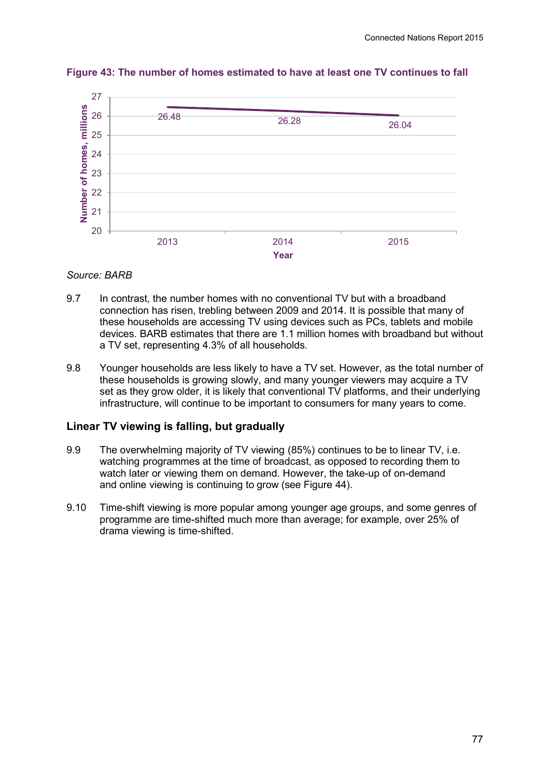

#### <span id="page-2-0"></span>**Figure 43: The number of homes estimated to have at least one TV continues to fall**

#### *Source: BARB*

- 9.7 In contrast, the number homes with no conventional TV but with a broadband connection has risen, trebling between 2009 and 2014. It is possible that many of these households are accessing TV using devices such as PCs, tablets and mobile devices. BARB estimates that there are 1.1 million homes with broadband but without a TV set, representing 4.3% of all households.
- 9.8 Younger households are less likely to have a TV set. However, as the total number of these households is growing slowly, and many younger viewers may acquire a TV set as they grow older, it is likely that conventional TV platforms, and their underlying infrastructure, will continue to be important to consumers for many years to come.

## **Linear TV viewing is falling, but gradually**

- 9.9 The overwhelming majority of TV viewing (85%) continues to be to linear TV, i.e. watching programmes at the time of broadcast, as opposed to recording them to watch later or viewing them on demand. However, the take-up of on-demand and online viewing is continuing to grow [\(see Figure](#page-3-0) 44).
- 9.10 Time-shift viewing is more popular among younger age groups, and some genres of programme are time-shifted much more than average; for example, over 25% of drama viewing is time-shifted.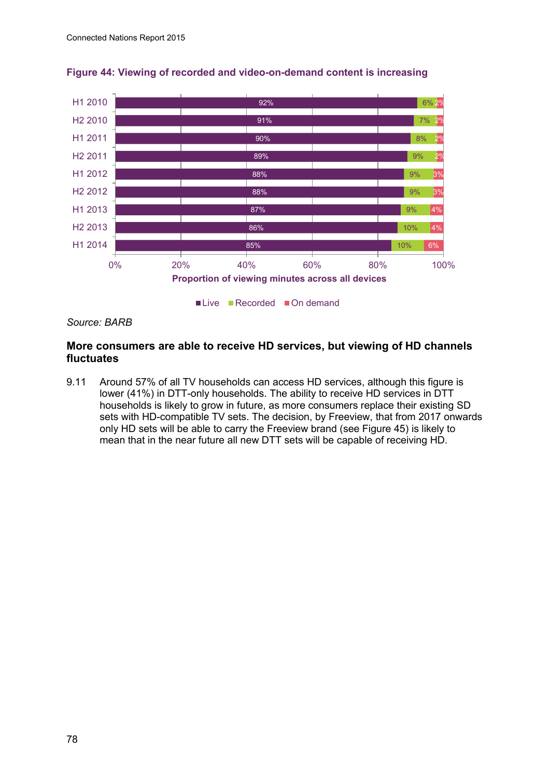

<span id="page-3-0"></span>

#### *Source: BARB*

#### **More consumers are able to receive HD services, but viewing of HD channels fluctuates**

9.11 Around 57% of all TV households can access HD services, although this figure is lower (41%) in DTT-only households. The ability to receive HD services in DTT households is likely to grow in future, as more consumers replace their existing SD sets with HD-compatible TV sets. The decision, by Freeview, that from 2017 onwards only HD sets will be able to carry the Freeview brand (see [Figure 4](#page-4-0)5) is likely to mean that in the near future all new DTT sets will be capable of receiving HD.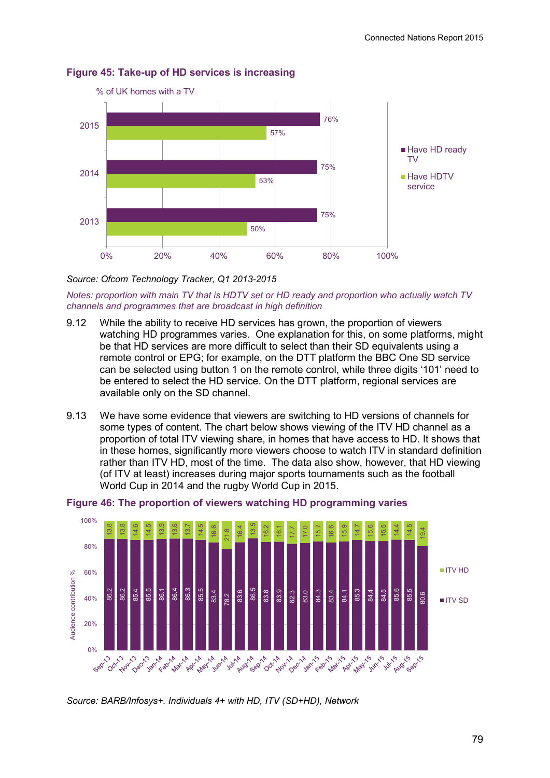

#### <span id="page-4-0"></span>**Figure 45: Take-up of HD services is increasing**

*Source: Ofcom Technology Tracker, Q1 2013-2015*

*Notes: proportion with main TV that is HDTV set or HD ready and proportion who actually watch TV channels and programmes that are broadcast in high definition*

- 9.12 While the ability to receive HD services has grown, the proportion of viewers watching HD programmes varies. One explanation for this, on some platforms, might be that HD services are more difficult to select than their SD equivalents using a remote control or EPG; for example, on the DTT platform the BBC One SD service can be selected using button 1 on the remote control, while three digits '101' need to be entered to select the HD service. On the DTT platform, regional services are available only on the SD channel.
- 9.13 We have some evidence that viewers are switching to HD versions of channels for some types of content. The chart below shows viewing of the ITV HD channel as a proportion of total ITV viewing share, in homes that have access to HD. It shows that in these homes, significantly more viewers choose to watch ITV in standard definition rather than ITV HD, most of the time. The data also show, however, that HD viewing (of ITV at least) increases during major sports tournaments such as the football World Cup in 2014 and the rugby World Cup in 2015.



#### **Figure 46: The proportion of viewers watching HD programming varies**

*Source: BARB/Infosys+. Individuals 4+ with HD, ITV (SD+HD), Network*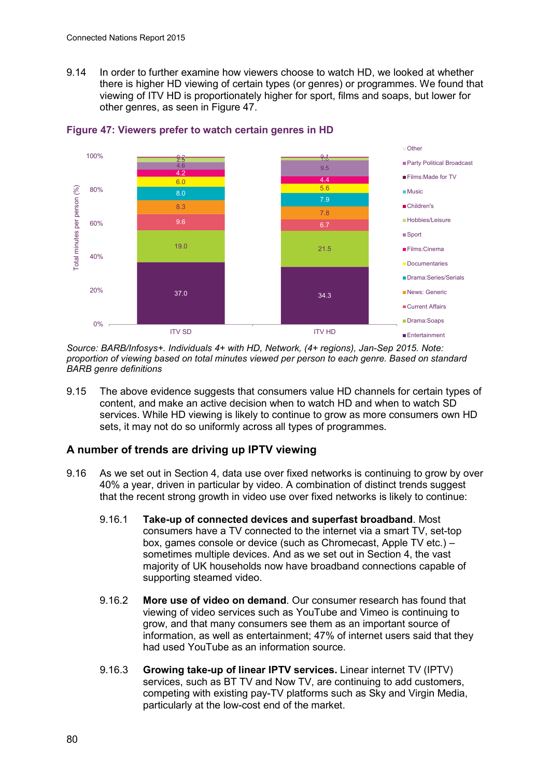9.14 In order to further examine how viewers choose to watch HD, we looked at whether there is higher HD viewing of certain types (or genres) or programmes. We found that viewing of ITV HD is proportionately higher for sport, films and soaps, but lower for other genres, as seen in [Figure](#page-5-0) 47.



<span id="page-5-0"></span>

*Source: BARB/Infosys+. Individuals 4+ with HD, Network, (4+ regions), Jan-Sep 2015. Note: proportion of viewing based on total minutes viewed per person to each genre. Based on standard BARB genre definitions*

9.15 The above evidence suggests that consumers value HD channels for certain types of content, and make an active decision when to watch HD and when to watch SD services. While HD viewing is likely to continue to grow as more consumers own HD sets, it may not do so uniformly across all types of programmes.

## **A number of trends are driving up IPTV viewing**

- 9.16 As we set out in Section 4, data use over fixed networks is continuing to grow by over 40% a year, driven in particular by video. A combination of distinct trends suggest that the recent strong growth in video use over fixed networks is likely to continue:
	- 9.16.1 **Take-up of connected devices and superfast broadband**. Most consumers have a TV connected to the internet via a smart TV, set-top box, games console or device (such as Chromecast, Apple TV etc.) – sometimes multiple devices. And as we set out in Section 4, the vast majority of UK households now have broadband connections capable of supporting steamed video.
	- 9.16.2 **More use of video on demand**. Our consumer research has found that viewing of video services such as YouTube and Vimeo is continuing to grow, and that many consumers see them as an important source of information, as well as entertainment; 47% of internet users said that they had used YouTube as an information source.
	- 9.16.3 **Growing take-up of linear IPTV services.** Linear internet TV (IPTV) services, such as BT TV and Now TV, are continuing to add customers, competing with existing pay-TV platforms such as Sky and Virgin Media, particularly at the low-cost end of the market.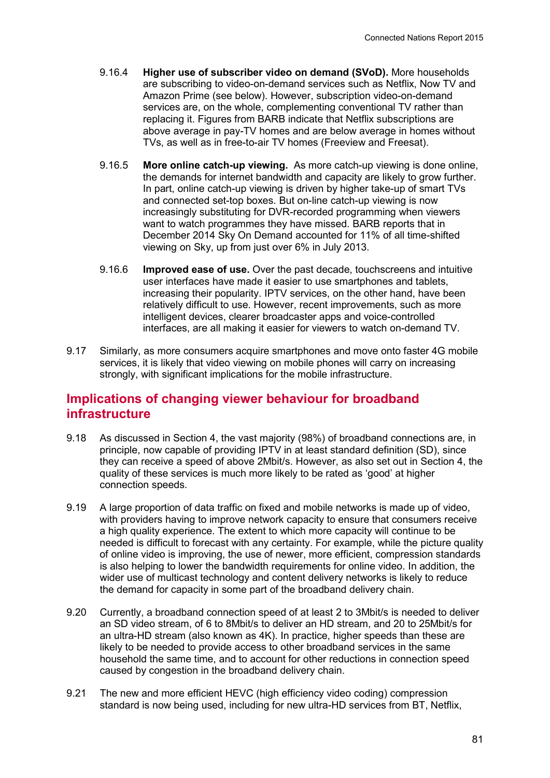- 9.16.4 **Higher use of subscriber video on demand (SVoD).** More households are subscribing to video-on-demand services such as Netflix, Now TV and Amazon Prime (see below). However, subscription video-on-demand services are, on the whole, complementing conventional TV rather than replacing it. Figures from BARB indicate that Netflix subscriptions are above average in pay-TV homes and are below average in homes without TVs, as well as in free-to-air TV homes (Freeview and Freesat).
- 9.16.5 **More online catch-up viewing.** As more catch-up viewing is done online, the demands for internet bandwidth and capacity are likely to grow further. In part, online catch-up viewing is driven by higher take-up of smart TVs and connected set-top boxes. But on-line catch-up viewing is now increasingly substituting for DVR-recorded programming when viewers want to watch programmes they have missed. BARB reports that in December 2014 Sky On Demand accounted for 11% of all time-shifted viewing on Sky, up from just over 6% in July 2013.
- 9.16.6 **Improved ease of use.** Over the past decade, touchscreens and intuitive user interfaces have made it easier to use smartphones and tablets, increasing their popularity. IPTV services, on the other hand, have been relatively difficult to use. However, recent improvements, such as more intelligent devices, clearer broadcaster apps and voice-controlled interfaces, are all making it easier for viewers to watch on-demand TV.
- 9.17 Similarly, as more consumers acquire smartphones and move onto faster 4G mobile services, it is likely that video viewing on mobile phones will carry on increasing strongly, with significant implications for the mobile infrastructure.

# **Implications of changing viewer behaviour for broadband infrastructure**

- 9.18 As discussed in Section 4, the vast majority (98%) of broadband connections are, in principle, now capable of providing IPTV in at least standard definition (SD), since they can receive a speed of above 2Mbit/s. However, as also set out in Section 4, the quality of these services is much more likely to be rated as 'good' at higher connection speeds.
- 9.19 A large proportion of data traffic on fixed and mobile networks is made up of video, with providers having to improve network capacity to ensure that consumers receive a high quality experience. The extent to which more capacity will continue to be needed is difficult to forecast with any certainty. For example, while the picture quality of online video is improving, the use of newer, more efficient, compression standards is also helping to lower the bandwidth requirements for online video. In addition, the wider use of multicast technology and content delivery networks is likely to reduce the demand for capacity in some part of the broadband delivery chain.
- 9.20 Currently, a broadband connection speed of at least 2 to 3Mbit/s is needed to deliver an SD video stream, of 6 to 8Mbit/s to deliver an HD stream, and 20 to 25Mbit/s for an ultra-HD stream (also known as 4K). In practice, higher speeds than these are likely to be needed to provide access to other broadband services in the same household the same time, and to account for other reductions in connection speed caused by congestion in the broadband delivery chain.
- 9.21 The new and more efficient HEVC (high efficiency video coding) compression standard is now being used, including for new ultra-HD services from BT, Netflix,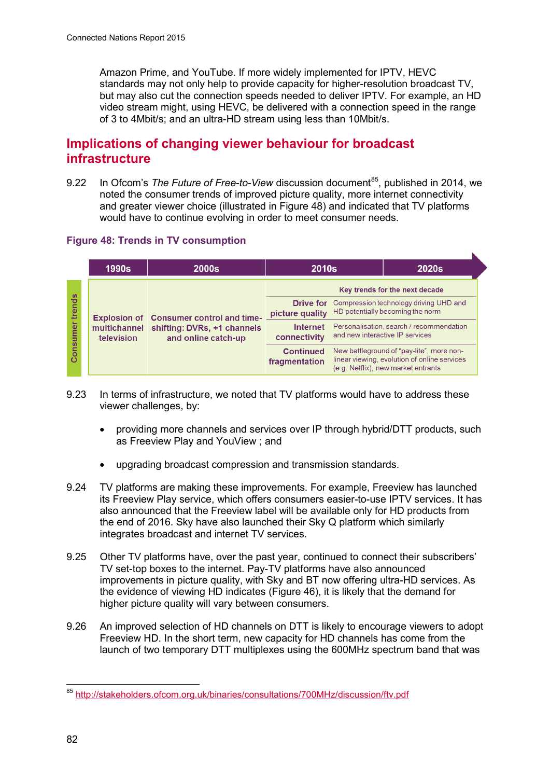Amazon Prime, and YouTube. If more widely implemented for IPTV, HEVC standards may not only help to provide capacity for higher-resolution broadcast TV, but may also cut the connection speeds needed to deliver IPTV. For example, an HD video stream might, using HEVC, be delivered with a connection speed in the range of 3 to 4Mbit/s; and an ultra-HD stream using less than 10Mbit/s.

# **Implications of changing viewer behaviour for broadcast infrastructure**

9.22 In Ofcom's *The Future of Free-to-View* discussion document<sup>85</sup>, published in 2014, we noted the consumer trends of improved picture quality, more internet connectivity and greater viewer choice (illustrated in [Figure 4](#page-7-0)8) and indicated that TV platforms would have to continue evolving in order to meet consumer needs.

ĸ

## <span id="page-7-0"></span>**Figure 48: Trends in TV consumption**

| Key trends for the next decade<br>S<br>trend:<br><b>Drive for</b> Compression technology driving UHD and<br>HD potentially becoming the norm<br>picture quality<br><b>Explosion of Consumer control and time-</b><br>Personalisation, search / recommendation<br><b>Internet</b><br>multichannel shifting: DVRs, +1 channels<br>and new interactive IP services |      | <b>1990s</b> | <b>2000s</b>        | <b>2010s</b> | <b>2020s</b> |
|-----------------------------------------------------------------------------------------------------------------------------------------------------------------------------------------------------------------------------------------------------------------------------------------------------------------------------------------------------------------|------|--------------|---------------------|--------------|--------------|
| Consi<br>New battleground of "pay-lite", more non-<br><b>Continued</b><br>linear viewing, evolution of online services<br>fragmentation                                                                                                                                                                                                                         | umer | television   | and online catch-up | connectivity |              |

- 9.23 In terms of infrastructure, we noted that TV platforms would have to address these viewer challenges, by:
	- providing more channels and services over IP through hybrid/DTT products, such as Freeview Play and YouView ; and
	- upgrading broadcast compression and transmission standards.
- 9.24 TV platforms are making these improvements. For example, Freeview has launched its Freeview Play service, which offers consumers easier-to-use IPTV services. It has also announced that the Freeview label will be available only for HD products from the end of 2016. Sky have also launched their Sky Q platform which similarly integrates broadcast and internet TV services.
- 9.25 Other TV platforms have, over the past year, continued to connect their subscribers' TV set-top boxes to the internet. Pay-TV platforms have also announced improvements in picture quality, with Sky and BT now offering ultra-HD services. As the evidence of viewing HD indicates [\(Figure 46\)](#page-7-0), it is likely that the demand for higher picture quality will vary between consumers.
- 9.26 An improved selection of HD channels on DTT is likely to encourage viewers to adopt Freeview HD. In the short term, new capacity for HD channels has come from the launch of two temporary DTT multiplexes using the 600MHz spectrum band that was

<span id="page-7-1"></span><sup>85</sup> <http://stakeholders.ofcom.org.uk/binaries/consultations/700MHz/discussion/ftv.pdf>